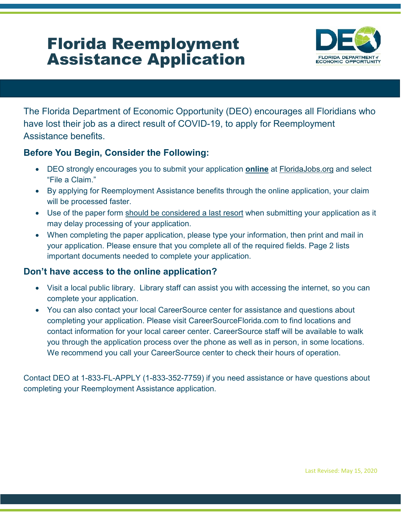# Florida Reemployment Assistance Application



The Florida Department of Economic Opportunity (DEO) encourages all Floridians who have lost their job as a direct result of COVID-19, to apply for Reemployment Assistance benefits.

# **Before You Begin, Consider the Following:**

- DEO strongly encourages you to submit your application **online** at [FloridaJobs.org](http://floridajobs.org/) and select "File a Claim."
- By applying for Reemployment Assistance benefits through the online application, your claim will be processed faster.
- Use of the paper form should be considered a last resort when submitting your application as it may delay processing of your application.
- When completing the paper application, please type your information, then print and mail in your application. Please ensure that you complete all of the required fields. Page 2 lists important documents needed to complete your application.

# **Don't have access to the online application?**

- Visit a local public library. Library staff can assist you with accessing the internet, so you can complete your application.
- You can also contact your local CareerSource center for assistance and questions about completing your application. Please visit CareerSourceFlorida.com to find locations and contact information for your local career center. CareerSource staff will be available to walk you through the application process over the phone as well as in person, in some locations. We recommend you call your CareerSource center to check their hours of operation.

Contact DEO at 1-833-FL-APPLY (1-833-352-7759) if you need assistance or have questions about completing your Reemployment Assistance application.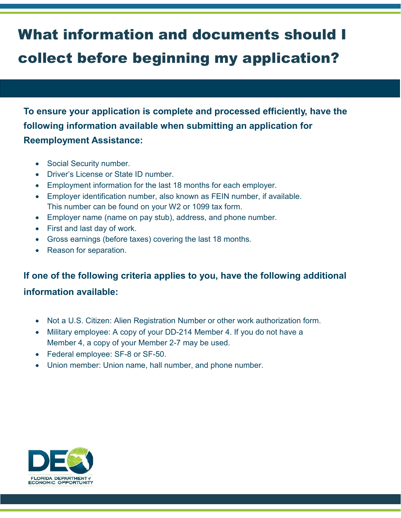# What information and documents should I collect before beginning my application?

**To ensure your application is complete and processed efficiently, have the following information available when submitting an application for Reemployment Assistance:**

- Social Security number.
- Driver's License or State ID number.
- Employment information for the last 18 months for each employer.
- Employer identification number, also known as FEIN number, if available. This number can be found on your W2 or 1099 tax form.
- Employer name (name on pay stub), address, and phone number.
- First and last day of work.
- Gross earnings (before taxes) covering the last 18 months.
- Reason for separation.

# **If one of the following criteria applies to you, have the following additional**

# **information available:**

- Not a U.S. Citizen: Alien Registration Number or other work authorization form.
- Military employee: A copy of your DD-214 Member 4. If you do not have a Member 4, a copy of your Member 2-7 may be used.
- Federal employee: SF-8 or SF-50.
- Union member: Union name, hall number, and phone number.

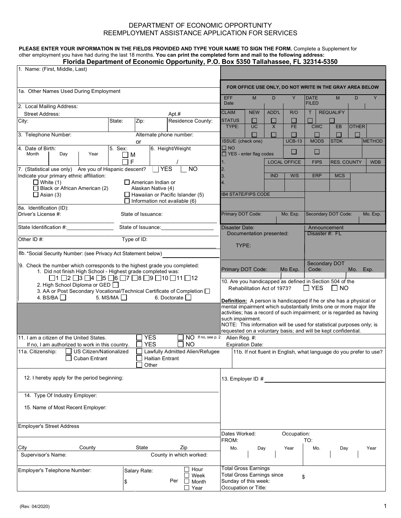### DEPARTMENT OF ECONOMIC OPPORTUNITY REEMPLOYMENT ASSISTANCE APPLICATION FOR SERVICES

#### **PLEASE ENTER YOUR INFORMATION IN THE FIELDS PROVIDED AND TYPE YOUR NAME TO SIGN THE FORM.** Complete a Supplement for other employment you have had during the last 18 months. **You can print the completed form and mail to the following address: Florida Department of Economic Opportunity, P.O. Box 5350 Tallahassee, FL 32314-5350**

| 1. Name: (First, Middle, Last)                                                                                                            |              |                           |                                                                                 |                             |                                               |                             |                                                                           |                                                                                                                                              |                                                                |                    |              |               |
|-------------------------------------------------------------------------------------------------------------------------------------------|--------------|---------------------------|---------------------------------------------------------------------------------|-----------------------------|-----------------------------------------------|-----------------------------|---------------------------------------------------------------------------|----------------------------------------------------------------------------------------------------------------------------------------------|----------------------------------------------------------------|--------------------|--------------|---------------|
|                                                                                                                                           |              |                           |                                                                                 |                             |                                               |                             |                                                                           |                                                                                                                                              | FOR OFFICE USE ONLY, DO NOT WRITE IN THE GRAY AREA BELOW       |                    |              |               |
| 1a. Other Names Used During Employment                                                                                                    |              |                           |                                                                                 |                             | <b>EFF</b>                                    | M                           | D                                                                         | Y                                                                                                                                            | <b>DATE</b>                                                    | M                  | D            |               |
| 2. Local Mailing Address:<br><b>Street Address:</b>                                                                                       |              |                           | Apt.#                                                                           |                             | Date<br><b>CLAIM</b>                          | <b>NEW</b>                  | ADD'L                                                                     | R/O                                                                                                                                          | <b>FILED</b><br>Т                                              | <b>REQUALIFY</b>   |              |               |
| City:                                                                                                                                     | State:       | Zip:                      | Residence County:                                                               |                             | <b>STATUS</b>                                 | $\mathcal{L}_{\mathcal{A}}$ | $\mathbb{R}^n$                                                            | J.                                                                                                                                           |                                                                |                    |              |               |
| 3. Telephone Number:                                                                                                                      |              |                           | Alternate phone number:                                                         |                             | TYPE:                                         | <b>UC</b>                   | $\times$<br>$\Box$                                                        | <b>FE</b>                                                                                                                                    | <b>CWC</b><br>П                                                | EB                 | <b>OTHER</b> |               |
|                                                                                                                                           |              | or                        |                                                                                 |                             | ISSUE: (check one)                            |                             |                                                                           | <b>UCB-13</b>                                                                                                                                | <b>MODS</b>                                                    | <b>STDK</b>        |              | <b>METHOD</b> |
| 4. Date of Birth:<br>Month<br>Year<br>Day                                                                                                 | 5. Sex:<br>M |                           | 6. Height/Weight                                                                |                             | $\square$ NO<br>$\Box$ YES - enter flag codes |                             |                                                                           | Ш                                                                                                                                            | □                                                              |                    |              |               |
| 7. (Statistical use only) Are you of Hispanic descent?                                                                                    | F            |                           | <b>YES</b><br><b>NO</b>                                                         |                             | 1.<br>2.                                      |                             |                                                                           | <b>LOCAL OFFICE</b>                                                                                                                          | <b>FIPS</b>                                                    | <b>RES. COUNTY</b> |              | <b>WDB</b>    |
| Indicate your primary ethnic affiliation:<br>$\Box$ White (1)                                                                             |              | $\Box$ American Indian or |                                                                                 |                             | 3.<br>4.                                      |                             | <b>IND</b>                                                                | W/S                                                                                                                                          | <b>ERP</b>                                                     | <b>MCS</b>         |              |               |
| Black or African American (2)                                                                                                             |              | Alaskan Native (4)        |                                                                                 |                             |                                               |                             |                                                                           |                                                                                                                                              |                                                                |                    |              |               |
| $\Box$ Asian (3)                                                                                                                          |              |                           | $\Box$ Hawaiian or Pacific Islander (5)<br>$\Box$ Information not available (6) |                             | <b>IB4 STATE/FIPS CODE</b>                    |                             |                                                                           |                                                                                                                                              |                                                                |                    |              |               |
| 8a. Identification (ID):<br>Driver's License #:                                                                                           |              | State of Issuance:        |                                                                                 |                             | Primary DOT Code:                             |                             |                                                                           | Mo. Exp.                                                                                                                                     | Secondary DOT Code:                                            |                    |              | Mo. Exp.      |
| State Identification #: __________________                                                                                                |              |                           |                                                                                 |                             | <b>Disaster Date:</b>                         |                             |                                                                           |                                                                                                                                              | Announcement                                                   |                    |              |               |
| Other ID #:                                                                                                                               |              | Type of ID:               |                                                                                 |                             |                                               | Documentation presented:    |                                                                           |                                                                                                                                              | Disaster #: FL                                                 |                    |              |               |
|                                                                                                                                           |              |                           |                                                                                 |                             | TYPE:                                         |                             |                                                                           |                                                                                                                                              |                                                                |                    |              |               |
| 8b. *Social Security Number: (see Privacy Act Statement below)                                                                            |              |                           |                                                                                 |                             |                                               |                             |                                                                           |                                                                                                                                              | Secondary DOT                                                  |                    |              |               |
| 9. Check the number which corresponds to the highest grade you completed:<br>1. Did not finish High School - Highest grade completed was: |              |                           | Primary DOT Code:                                                               |                             |                                               | Mo Exp.                     | Code:                                                                     |                                                                                                                                              | Mo.                                                            | Exp.               |              |               |
| $\Box$ 1 $\Box$ 2 $\Box$ 3 $\Box$ 4 $\Box$ 5 $\Box$ 6 $\Box$ 7 $\Box$ 8 $\Box$ 9 $\Box$ 10 $\Box$ 11 $\Box$ 12                            |              |                           |                                                                                 |                             |                                               |                             | 10. Are you handicapped as defined in Section 504 of the                  |                                                                                                                                              |                                                                |                    |              |               |
| 2. High School Diploma or GED [<br>3. AA or Post Secondary Vocational/Technical Certificate of Completion $\square$                       |              |                           |                                                                                 | Rehabilitation Act of 1973? |                                               |                             | $\Box$ YES                                                                | I INO                                                                                                                                        |                                                                |                    |              |               |
| 4. BS/BA $\square$<br>5. MS/MA $\square$<br>6. Doctorate $\Box$                                                                           |              |                           |                                                                                 |                             |                                               |                             | <b>Definition:</b> A person is handicapped if he or she has a physical or |                                                                                                                                              |                                                                |                    |              |               |
|                                                                                                                                           |              |                           |                                                                                 |                             |                                               |                             |                                                                           | mental impairment which substantially limits one or more major life<br>activities; has a record of such impairment; or is regarded as having |                                                                |                    |              |               |
|                                                                                                                                           |              |                           |                                                                                 | such impairment.            |                                               |                             |                                                                           | NOTE: This information will be used for statistical purposes only; is                                                                        |                                                                |                    |              |               |
|                                                                                                                                           |              |                           |                                                                                 |                             |                                               |                             |                                                                           |                                                                                                                                              | requested on a voluntary basis; and will be kept confidential. |                    |              |               |
| 11. I am a citizen of the United States.<br>If no, I am authorized to work in this country.                                               |              | <b>YES</b><br><b>YES</b>  | ΝO                                                                              | NO If no, see p. 2          | Alien Reg. #:                                 | <b>Expiration Date:</b>     |                                                                           |                                                                                                                                              |                                                                |                    |              |               |
| Lawfully Admitted Alien/Refugee<br>11a. Citizenship:<br>US Citizen/Nationalized<br>$\Box$ Cuban Entrant<br>Haitian Entrant<br>Other       |              |                           |                                                                                 |                             |                                               |                             |                                                                           | 11b. If not fluent in English, what language do you prefer to use?                                                                           |                                                                |                    |              |               |
| 12. I hereby apply for the period beginning:                                                                                              |              |                           |                                                                                 |                             | 13. Employer ID #                             |                             |                                                                           |                                                                                                                                              |                                                                |                    |              |               |
|                                                                                                                                           |              |                           |                                                                                 |                             |                                               |                             |                                                                           |                                                                                                                                              |                                                                |                    |              |               |
| 14. Type Of Industry Employer:                                                                                                            |              |                           |                                                                                 |                             |                                               |                             |                                                                           |                                                                                                                                              |                                                                |                    |              |               |
| 15. Name of Most Recent Employer:                                                                                                         |              |                           |                                                                                 |                             |                                               |                             |                                                                           |                                                                                                                                              |                                                                |                    |              |               |
| <b>Employer's Street Address</b>                                                                                                          |              |                           |                                                                                 |                             |                                               |                             |                                                                           |                                                                                                                                              |                                                                |                    |              |               |
|                                                                                                                                           |              |                           |                                                                                 |                             | Dates Worked:<br>FROM:                        |                             |                                                                           | Occupation:                                                                                                                                  | TO:                                                            |                    |              |               |
| City<br>County<br>Supervisor's Name:                                                                                                      |              | State                     | Zip<br>County in which worked:                                                  |                             | Mo.                                           | Day                         |                                                                           | Year                                                                                                                                         | Mo.                                                            | Day                |              | Year          |
|                                                                                                                                           |              |                           |                                                                                 | $\exists$ Hour              | <b>Total Gross Earnings</b>                   |                             |                                                                           |                                                                                                                                              |                                                                |                    |              |               |
| Employer's Telephone Number:                                                                                                              |              | Salary Rate:              |                                                                                 | Week                        | <b>Total Gross Earnings since</b>             |                             |                                                                           | \$                                                                                                                                           |                                                                |                    |              |               |
|                                                                                                                                           |              |                           | Per                                                                             | Month<br>$\Box$ Year        | Sunday of this week:<br>Occupation or Title:  |                             |                                                                           |                                                                                                                                              |                                                                |                    |              |               |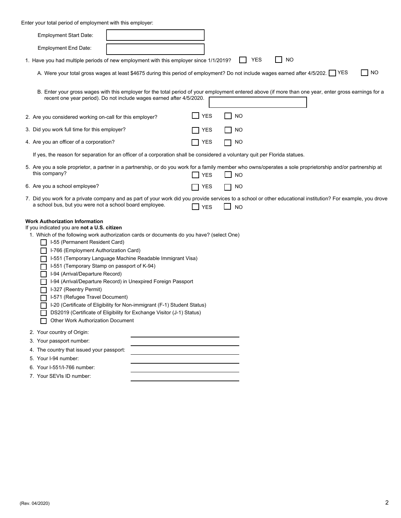Enter your total period of employment with this employer:

| <b>Employment Start Date:</b>                                                                                                                                                                                                                                                                                                                                                                                                                                                                                                                                                                                                                                                                                                        |            |                         |                                                                                                                                                       |           |
|--------------------------------------------------------------------------------------------------------------------------------------------------------------------------------------------------------------------------------------------------------------------------------------------------------------------------------------------------------------------------------------------------------------------------------------------------------------------------------------------------------------------------------------------------------------------------------------------------------------------------------------------------------------------------------------------------------------------------------------|------------|-------------------------|-------------------------------------------------------------------------------------------------------------------------------------------------------|-----------|
| <b>Employment End Date:</b>                                                                                                                                                                                                                                                                                                                                                                                                                                                                                                                                                                                                                                                                                                          |            |                         |                                                                                                                                                       |           |
| 1. Have you had multiple periods of new employment with this employer since 1/1/2019?                                                                                                                                                                                                                                                                                                                                                                                                                                                                                                                                                                                                                                                |            | <b>YES</b>              | <b>NO</b>                                                                                                                                             |           |
| A. Were your total gross wages at least \$4675 during this period of employment? Do not include wages earned after 4/5/202. YES                                                                                                                                                                                                                                                                                                                                                                                                                                                                                                                                                                                                      |            |                         |                                                                                                                                                       | <b>NO</b> |
| recent one year period). Do not include wages earned after 4/5/2020.                                                                                                                                                                                                                                                                                                                                                                                                                                                                                                                                                                                                                                                                 |            |                         | B. Enter your gross wages with this employer for the total period of your employment entered above (if more than one year, enter gross earnings for a |           |
| 2. Are you considered working on-call for this employer?                                                                                                                                                                                                                                                                                                                                                                                                                                                                                                                                                                                                                                                                             | $\Box$ YES | <b>NO</b>               |                                                                                                                                                       |           |
| 3. Did you work full time for this employer?                                                                                                                                                                                                                                                                                                                                                                                                                                                                                                                                                                                                                                                                                         |            | <b>YES</b><br>NO        |                                                                                                                                                       |           |
| 4. Are you an officer of a corporation?                                                                                                                                                                                                                                                                                                                                                                                                                                                                                                                                                                                                                                                                                              |            | YES<br><b>NO</b>        |                                                                                                                                                       |           |
| If yes, the reason for separation for an officer of a corporation shall be considered a voluntary quit per Florida statues.                                                                                                                                                                                                                                                                                                                                                                                                                                                                                                                                                                                                          |            |                         |                                                                                                                                                       |           |
| 5. Are you a sole proprietor, a partner in a partnership, or do you work for a family member who owns/operates a sole proprietorship and/or partnership at<br>this company?                                                                                                                                                                                                                                                                                                                                                                                                                                                                                                                                                          |            | <b>NO</b><br>YES        |                                                                                                                                                       |           |
| 6. Are you a school employee?                                                                                                                                                                                                                                                                                                                                                                                                                                                                                                                                                                                                                                                                                                        |            | <b>YES</b><br>NO        |                                                                                                                                                       |           |
| 7. Did you work for a private company and as part of your work did you provide services to a school or other educational institution? For example, you drove<br>a school bus, but you were not a school board employee.                                                                                                                                                                                                                                                                                                                                                                                                                                                                                                              |            | <b>YES</b><br><b>NO</b> |                                                                                                                                                       |           |
| <b>Work Authorization Information</b><br>If you indicated you are not a U.S. citizen<br>1. Which of the following work authorization cards or documents do you have? (select One)<br>I-55 (Permanent Resident Card)<br>I-766 (Employment Authorization Card)<br>I-551 (Temporary Language Machine Readable Immigrant Visa)<br>I-551 (Temporary Stamp on passport of K-94)<br>I-94 (Arrival/Departure Record)<br>I-94 (Arrival/Departure Record) in Unexpired Foreign Passport<br>I-327 (Reentry Permit)<br>I-571 (Refugee Travel Document)<br>I-20 (Certificate of Eligibility for Non-immigrant (F-1) Student Status)<br>DS2019 (Certificate of Eligibility for Exchange Visitor (J-1) Status)<br>Other Work Authorization Document |            |                         |                                                                                                                                                       |           |
| 2. Your country of Origin:<br>3. Your passport number:                                                                                                                                                                                                                                                                                                                                                                                                                                                                                                                                                                                                                                                                               |            |                         |                                                                                                                                                       |           |
| 4. The country that issued your passport:                                                                                                                                                                                                                                                                                                                                                                                                                                                                                                                                                                                                                                                                                            |            |                         |                                                                                                                                                       |           |
| 5. Your I-94 number:                                                                                                                                                                                                                                                                                                                                                                                                                                                                                                                                                                                                                                                                                                                 |            |                         |                                                                                                                                                       |           |
| 6. Your I-551/I-766 number:                                                                                                                                                                                                                                                                                                                                                                                                                                                                                                                                                                                                                                                                                                          |            |                         |                                                                                                                                                       |           |
| 7. Your SEVIs ID number:                                                                                                                                                                                                                                                                                                                                                                                                                                                                                                                                                                                                                                                                                                             |            |                         |                                                                                                                                                       |           |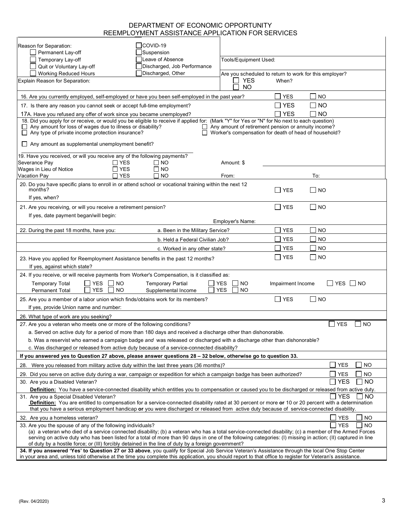### DEPARTMENT OF ECONOMIC OPPORTUNITY REEMPLOYMENT ASSISTANCE APPLICATION FOR SERVICES

| Reason for Separation:<br>Permanent Lay-off                                                                                                                                                                                                                                                                                                                                                                                   | <b>COVID-19</b><br>Suspension                   |                                                                                                              |                   |                                                     |  |
|-------------------------------------------------------------------------------------------------------------------------------------------------------------------------------------------------------------------------------------------------------------------------------------------------------------------------------------------------------------------------------------------------------------------------------|-------------------------------------------------|--------------------------------------------------------------------------------------------------------------|-------------------|-----------------------------------------------------|--|
| Temporary Lay-off                                                                                                                                                                                                                                                                                                                                                                                                             | Leave of Absence                                | Tools/Equipment Used:                                                                                        |                   |                                                     |  |
| Quit or Voluntary Lay-off                                                                                                                                                                                                                                                                                                                                                                                                     | Discharged, Job Performance                     |                                                                                                              |                   |                                                     |  |
| <b>Working Reduced Hours</b>                                                                                                                                                                                                                                                                                                                                                                                                  | Discharged, Other                               | Are you scheduled to return to work for this employer?                                                       |                   |                                                     |  |
| Explain Reason for Separation:                                                                                                                                                                                                                                                                                                                                                                                                |                                                 | <b>YES</b><br>NO.                                                                                            | When?             |                                                     |  |
| 16. Are you currently employed, self-employed or have you been self-employed in the past year?                                                                                                                                                                                                                                                                                                                                |                                                 |                                                                                                              | <b>YES</b>        | <b>NO</b>                                           |  |
| 17. Is there any reason you cannot seek or accept full-time employment?                                                                                                                                                                                                                                                                                                                                                       |                                                 |                                                                                                              | <b>YES</b>        | <b>NO</b>                                           |  |
| 17A. Have you refused any offer of work since you became unemployed?                                                                                                                                                                                                                                                                                                                                                          |                                                 |                                                                                                              | <b>YES</b>        | NO                                                  |  |
| 18. Did you apply for or receive, or would you be eligible to receive if applied for: (Mark "Y" for Yes or "N" for No next to each question)<br>$\Box$ Any amount for loss of wages due to illness or disability?<br>$\Box$ Any type of private income protection insurance?                                                                                                                                                  |                                                 | Any amount of retirement pension or annuity income?<br>Worker's compensation for death of head of household? |                   |                                                     |  |
| $\Box$ Any amount as supplemental unemployment benefit?                                                                                                                                                                                                                                                                                                                                                                       |                                                 |                                                                                                              |                   |                                                     |  |
| 19. Have you received, or will you receive any of the following payments?<br>Severance Pay<br>$\Box$ YES<br><b>YES</b>                                                                                                                                                                                                                                                                                                        | ∩ NO<br>$\Box$ No                               | Amount: \$                                                                                                   |                   |                                                     |  |
| Wages in Lieu of Notice<br>∏ YES<br>Vacation Pay                                                                                                                                                                                                                                                                                                                                                                              | Π NO                                            | From:                                                                                                        |                   | To:                                                 |  |
| 20. Do you have specific plans to enroll in or attend school or vocational training within the next 12<br>months?<br>If yes, when?                                                                                                                                                                                                                                                                                            |                                                 |                                                                                                              | <b>YES</b>        | I NO                                                |  |
| 21. Are you receiving, or will you receive a retirement pension?                                                                                                                                                                                                                                                                                                                                                              |                                                 |                                                                                                              | $\sqcap$ YES      | I NO                                                |  |
| If yes, date payment began/will begin:                                                                                                                                                                                                                                                                                                                                                                                        |                                                 |                                                                                                              |                   |                                                     |  |
|                                                                                                                                                                                                                                                                                                                                                                                                                               |                                                 | Employer's Name:                                                                                             |                   |                                                     |  |
| 22. During the past 18 months, have you:                                                                                                                                                                                                                                                                                                                                                                                      | a. Been in the Military Service?                |                                                                                                              | <b>YES</b>        | <b>NO</b>                                           |  |
|                                                                                                                                                                                                                                                                                                                                                                                                                               | b. Held a Federal Civilian Job?                 |                                                                                                              | <b>YES</b>        | <b>NO</b>                                           |  |
|                                                                                                                                                                                                                                                                                                                                                                                                                               | c. Worked in any other state?                   |                                                                                                              | <b>YES</b>        | <b>NO</b>                                           |  |
| 23. Have you applied for Reemployment Assistance benefits in the past 12 months?<br>If yes, against which state?                                                                                                                                                                                                                                                                                                              |                                                 |                                                                                                              | YES               | NO                                                  |  |
| 24. If you receive, or will receive payments from Worker's Compensation, is it classified as:                                                                                                                                                                                                                                                                                                                                 |                                                 |                                                                                                              |                   |                                                     |  |
| <b>YES</b><br><b>NO</b><br><b>Temporary Total</b><br><b>YES</b><br><b>NO</b><br><b>Permanent Total</b>                                                                                                                                                                                                                                                                                                                        | <b>Temporary Partial</b><br>Supplemental Income | <b>YES</b><br><b>NO</b><br><b>YES</b><br><b>NO</b>                                                           | Impairment Income | YES I INO                                           |  |
| 25. Are you a member of a labor union which finds/obtains work for its members?                                                                                                                                                                                                                                                                                                                                               |                                                 |                                                                                                              | T YES             | NO                                                  |  |
| If yes, provide Union name and number:                                                                                                                                                                                                                                                                                                                                                                                        |                                                 |                                                                                                              |                   |                                                     |  |
| 26. What type of work are you seeking?                                                                                                                                                                                                                                                                                                                                                                                        |                                                 |                                                                                                              |                   |                                                     |  |
| 27. Are you a veteran who meets one or more of the following conditions?<br>a. Served on active duty for a period of more than 180 days and received a discharge other than dishonorable.                                                                                                                                                                                                                                     |                                                 |                                                                                                              |                   | <b>YES</b><br>  NO                                  |  |
| b. Was a reservist who earned a campaign badge and was released or discharged with a discharge other than dishonorable?                                                                                                                                                                                                                                                                                                       |                                                 |                                                                                                              |                   |                                                     |  |
| c. Was discharged or released from active duty because of a service-connected disability?                                                                                                                                                                                                                                                                                                                                     |                                                 |                                                                                                              |                   |                                                     |  |
| If you answered yes to Question 27 above, please answer questions 28 - 32 below, otherwise go to question 33.                                                                                                                                                                                                                                                                                                                 |                                                 |                                                                                                              |                   |                                                     |  |
| Were you released from military active duty within the last three years (36 months)?<br>28.                                                                                                                                                                                                                                                                                                                                   |                                                 |                                                                                                              |                   | <b>YES</b><br><b>NO</b>                             |  |
| 29. Did you serve on active duty during a war, campaign or expedition for which a campaign badge has been authorized?                                                                                                                                                                                                                                                                                                         |                                                 |                                                                                                              |                   | <b>YES</b><br>NO                                    |  |
| 30. Are you a Disabled Veteran?                                                                                                                                                                                                                                                                                                                                                                                               |                                                 |                                                                                                              |                   | <b>YES</b><br><b>NO</b><br>$\overline{\phantom{a}}$ |  |
| Definition: You have a service-connected disability which entitles you to compensation or caused you to be discharged or released from active duty.                                                                                                                                                                                                                                                                           |                                                 |                                                                                                              |                   |                                                     |  |
| <b>YES</b><br>NO.<br>31. Are you a Special Disabled Veteran?<br><b>Definition:</b> You are entitled to compensation for a service-connected disability rated at 30 percent or more or 10 or 20 percent with a determination<br>that you have a serious employment handicap or you were discharged or released from active duty because of service-connected disability.                                                       |                                                 |                                                                                                              |                   |                                                     |  |
| 32. Are you a homeless veteran?                                                                                                                                                                                                                                                                                                                                                                                               |                                                 |                                                                                                              |                   | <b>NO</b><br><b>YES</b>                             |  |
| 33. Are you the spouse of any of the following individuals?                                                                                                                                                                                                                                                                                                                                                                   |                                                 |                                                                                                              |                   | <b>YES</b><br>I NO                                  |  |
| (a) a veteran who died of a service connected disability; (b) a veteran who has a total service-connected disability; (c) a member of the Armed Forces<br>serving on active duty who has been listed for a total of more than 90 days in one of the following categories: (I) missing in action; (II) captured in line<br>of duty by a hostile force; or (III) forcibly detained in the line of duty by a foreign government? |                                                 |                                                                                                              |                   |                                                     |  |
| 34. If you answered 'Yes' to Question 27 or 33 above, you qualify for Special Job Service Veteran's Assistance through the local One Stop Center<br>in your area and, unless told otherwise at the time you complete this application, you should report to that office to register for Veteran's assistance.                                                                                                                 |                                                 |                                                                                                              |                   |                                                     |  |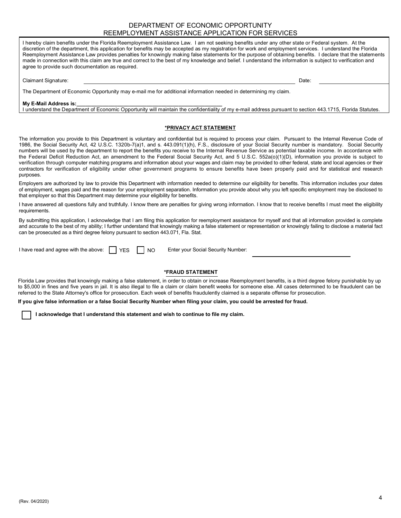#### DEPARTMENT OF ECONOMIC OPPORTUNITY REEMPLOYMENT ASSISTANCE APPLICATION FOR SERVICES

I hereby claim benefits under the Florida Reemployment Assistance Law. I am not seeking benefits under any other state or Federal system. At the discretion of the department, this application for benefits may be accepted as my registration for work and employment services. I understand the Florida Reemployment Assistance Law provides penalties for knowingly making false statements for the purpose of obtaining benefits. I declare that the statements made in connection with this claim are true and correct to the best of my knowledge and belief. I understand the information is subject to verification and agree to provide such documentation as required.

Claimant Signature: Date: Date: Date: Date: Date: Date: Date: Date: Date: Date: Date: Date: Date: Date: Date: Date: Date: Date: Date: Date: Date: Date: Date: Date: Date: Date: Date: Date: Date: Date: Date: Date: Date: Date

The Department of Economic Opportunity may e-mail me for additional information needed in determining my claim.

#### **My E-Mail Address is:**

I understand the Department of Economic Opportunity will maintain the confidentiality of my e-mail address pursuant to section 443.1715, Florida Statutes.

#### **\*PRIVACY ACT STATEMENT**

The information you provide to this Department is voluntary and confidential but is required to process your claim. Pursuant to the Internal Revenue Code of 1986, the Social Security Act, 42 U.S.C. 1320b-7(a)1, and s. 443.091(1)(h), F.S., disclosure of your Social Security number is mandatory. Social Security numbers will be used by the department to report the benefits you receive to the Internal Revenue Service as potential taxable income. In accordance with the Federal Deficit Reduction Act, an amendment to the Federal Social Security Act, and 5 U.S.C. 552a(o)(1)(D), information you provide is subject to verification through computer matching programs and information about your wages and claim may be provided to other federal, state and local agencies or their contractors for verification of eligibility under other government programs to ensure benefits have been properly paid and for statistical and research purposes.

Employers are authorized by law to provide this Department with information needed to determine our eligibility for benefits. This information includes your dates of employment, wages paid and the reason for your employment separation. Information you provide about why you left specific employment may be disclosed to that employer so that this Department may determine your eligibility for benefits.

I have answered all questions fully and truthfully. I know there are penalties for giving wrong information. I know that to receive benefits I must meet the eligibility requirements.

By submitting this application, I acknowledge that I am filing this application for reemployment assistance for myself and that all information provided is complete and accurate to the best of my ability; I further understand that knowingly making a false statement or representation or knowingly failing to disclose a material fact can be prosecuted as a third degree felony pursuant to section 443.071, Fla. Stat.

I have read and agree with the above: IYES I INO

Enter your Social Security Number:

#### **\*FRAUD STATEMENT**

Florida Law provides that knowingly making a false statement, in order to obtain or increase Reemployment benefits, is a third degree felony punishable by up to \$5,000 in fines and five years in jail. It is also illegal to file a claim or claim benefit weeks for someone else. All cases determined to be fraudulent can be referred to the State Attorney's office for prosecution. Each week of benefits fraudulently claimed is a separate offense for prosecution.

**If you give false information or a false Social Security Number when filing your claim, you could be arrested for fraud.**

**I acknowledge that I understand this statement and wish to continue to file my claim.**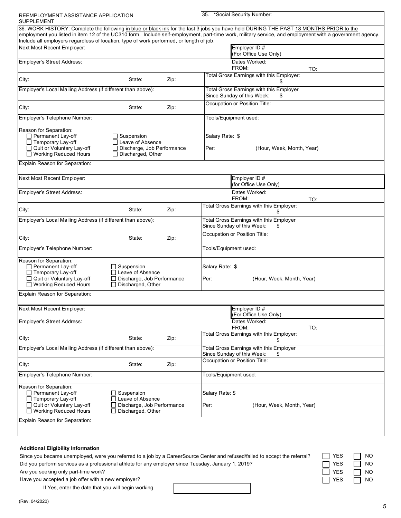| REEMPLOYMENT ASSISTANCE APPLICATION<br>SUPPLEMENT                                                                                                                                                                                                                                                                                                                                            |                                                 |                                                      | *Social Security Number:<br>35.                                                   |                                                |  |  |
|----------------------------------------------------------------------------------------------------------------------------------------------------------------------------------------------------------------------------------------------------------------------------------------------------------------------------------------------------------------------------------------------|-------------------------------------------------|------------------------------------------------------|-----------------------------------------------------------------------------------|------------------------------------------------|--|--|
| 36. WORK HISTORY: Complete the following in blue or black ink for the last 3 jobs you have held DURING THE PAST 18 MONTHS PRIOR to the<br>employment you listed in item 12 of the UC310 form. Include self-employment, part-time work, military service, and employment with a government agency.<br>Include all employers regardless of location, type of work performed, or length of job. |                                                 |                                                      |                                                                                   |                                                |  |  |
| Next Most Recent Emplover:                                                                                                                                                                                                                                                                                                                                                                   |                                                 |                                                      |                                                                                   | Employer ID #<br>(For Office Use Only)         |  |  |
| Employer's Street Address:                                                                                                                                                                                                                                                                                                                                                                   |                                                 |                                                      |                                                                                   | Dates Worked:<br>FROM:<br>TO:                  |  |  |
| City:                                                                                                                                                                                                                                                                                                                                                                                        | State:                                          | Zip:                                                 |                                                                                   | Total Gross Earnings with this Employer:       |  |  |
| Employer's Local Mailing Address (if different than above):                                                                                                                                                                                                                                                                                                                                  |                                                 |                                                      | <b>Total Gross Earnings with this Employer</b><br>Since Sunday of this Week:<br>S |                                                |  |  |
| City:                                                                                                                                                                                                                                                                                                                                                                                        | State:                                          | Zip:                                                 |                                                                                   | Occupation or Position Title:                  |  |  |
| Employer's Telephone Number:                                                                                                                                                                                                                                                                                                                                                                 |                                                 |                                                      |                                                                                   | Tools/Equipment used:                          |  |  |
| Reason for Separation:<br>Permanent Lay-off<br>Suspension<br>□ Temporary Lay-off<br>Leave of Absence<br>Quit or Voluntary Lay-off<br>Discharge, Job Performance<br>□ Working Reduced Hours<br>Discharged, Other                                                                                                                                                                              |                                                 |                                                      | Salary Rate: \$<br>Per:<br>(Hour, Week, Month, Year)                              |                                                |  |  |
| Explain Reason for Separation:                                                                                                                                                                                                                                                                                                                                                               |                                                 |                                                      |                                                                                   |                                                |  |  |
| Next Most Recent Employer:                                                                                                                                                                                                                                                                                                                                                                   |                                                 |                                                      |                                                                                   | Employer ID #<br>(for Office Use Only)         |  |  |
| Employer's Street Address:                                                                                                                                                                                                                                                                                                                                                                   |                                                 |                                                      |                                                                                   | Dates Worked:<br>FROM:<br>TO:                  |  |  |
| City:                                                                                                                                                                                                                                                                                                                                                                                        | State:                                          | Zip:                                                 |                                                                                   | Total Gross Earnings with this Employer:<br>S. |  |  |
| Employer's Local Mailing Address (if different than above):                                                                                                                                                                                                                                                                                                                                  |                                                 |                                                      | Total Gross Earnings with this Employer<br>Since Sunday of this Week:<br>\$       |                                                |  |  |
| City:                                                                                                                                                                                                                                                                                                                                                                                        | Occupation or Position Title:<br>Zip:<br>State: |                                                      |                                                                                   |                                                |  |  |
| Employer's Telephone Number:                                                                                                                                                                                                                                                                                                                                                                 |                                                 |                                                      | Tools/Equipment used:                                                             |                                                |  |  |
| Reason for Separation:<br>Permanent Lay-off<br>$\Box$ Suspension<br>$\Box$ Temporary Lay-off<br>□ Leave of Absence<br>□ Quit or Voluntary Lay-off<br>Discharge, Job Performance<br>□ Working Reduced Hours<br>Discharged, Other<br>l 1                                                                                                                                                       |                                                 |                                                      | Salary Rate: \$<br>Per:                                                           | (Hour, Week, Month, Year)                      |  |  |
| Explain Reason for Separation:                                                                                                                                                                                                                                                                                                                                                               |                                                 |                                                      |                                                                                   |                                                |  |  |
| Next Most Recent Employer:                                                                                                                                                                                                                                                                                                                                                                   |                                                 |                                                      |                                                                                   | Employer ID #<br>(For Office Use Only)         |  |  |
| Employer's Street Address:                                                                                                                                                                                                                                                                                                                                                                   |                                                 |                                                      |                                                                                   | Dates Worked:<br>FROM:<br>TO:                  |  |  |
| City:                                                                                                                                                                                                                                                                                                                                                                                        | State:                                          | Zip:                                                 |                                                                                   | Total Gross Earnings with this Employer:<br>\$ |  |  |
| Employer's Local Mailing Address (if different than above):                                                                                                                                                                                                                                                                                                                                  |                                                 |                                                      | Total Gross Earnings with this Employer<br>Since Sunday of this Week:<br>\$       |                                                |  |  |
| City:                                                                                                                                                                                                                                                                                                                                                                                        | State:                                          | Zip:                                                 |                                                                                   | Occupation or Position Title:                  |  |  |
| Employer's Telephone Number:                                                                                                                                                                                                                                                                                                                                                                 |                                                 |                                                      | Tools/Equipment used:                                                             |                                                |  |  |
| Reason for Separation:<br>Permanent Lay-off<br>$\Box$ Suspension<br>$\Box$ Temporary Lay-off<br>$\Box$ Leave of Absence<br>□ Quit or Voluntary Lay-off<br>Discharge, Job Performance<br>□ Working Reduced Hours<br>Discharged, Other<br>$\blacksquare$                                                                                                                                       |                                                 | Salary Rate: \$<br>Per:<br>(Hour, Week, Month, Year) |                                                                                   |                                                |  |  |
| Explain Reason for Separation:                                                                                                                                                                                                                                                                                                                                                               |                                                 |                                                      |                                                                                   |                                                |  |  |
| <b>Additional Eligibility Information</b>                                                                                                                                                                                                                                                                                                                                                    |                                                 |                                                      |                                                                                   |                                                |  |  |

| Since you became unemployed, were you referred to a job by a CareerSource Center and refused/failed to accept the referral? | I I YES    | <b>NO</b> |
|-----------------------------------------------------------------------------------------------------------------------------|------------|-----------|
| Did you perform services as a professional athlete for any employer since Tuesday, January 1, 2019?                         | $\Box$ YES | $\Box$ NO |
| Are you seeking only part-time work?                                                                                        | $\Box$ YES | $\Box$ NO |
| Have you accepted a job offer with a new employer?                                                                          | $\Box$ YES | $\Box$ NO |
|                                                                                                                             |            |           |

If Yes, enter the date that you will begin working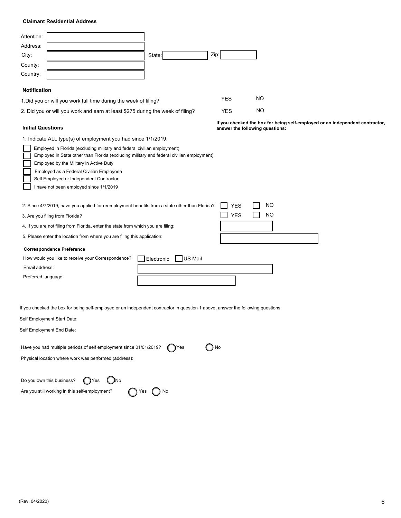#### **Claimant Residential Address**

| Attention:<br>Address:<br>City:<br>County:<br>Country:                                                                                                                                                                                                                                                                                                                                                              | State:                | Zip:                            |                 |                                                                              |
|---------------------------------------------------------------------------------------------------------------------------------------------------------------------------------------------------------------------------------------------------------------------------------------------------------------------------------------------------------------------------------------------------------------------|-----------------------|---------------------------------|-----------------|------------------------------------------------------------------------------|
| <b>Notification</b>                                                                                                                                                                                                                                                                                                                                                                                                 |                       |                                 |                 |                                                                              |
| 1. Did you or will you work full time during the week of filing?                                                                                                                                                                                                                                                                                                                                                    |                       | <b>YES</b>                      | NO.             |                                                                              |
| 2. Did you or will you work and earn at least \$275 during the week of filing?                                                                                                                                                                                                                                                                                                                                      |                       | <b>YES</b>                      | NO.             |                                                                              |
| <b>Initial Questions</b>                                                                                                                                                                                                                                                                                                                                                                                            |                       | answer the following questions: |                 | If you checked the box for being self-employed or an independent contractor, |
| 1. Indicate ALL type(s) of employment you had since 1/1/2019.<br>Employed in Florida (excluding military and federal civilian employment)<br>Employed in State other than Florida (excluding military and federal civilian employment)<br>Employed by the Military in Active Duty<br>Employed as a Federal Civilian Employoee<br>Self Employed or Independent Contractor<br>I have not been employed since 1/1/2019 |                       |                                 |                 |                                                                              |
| 2. Since 4/7/2019, have you applied for reemployment benefits from a state other than Florida?<br>3. Are you filing from Florida?<br>4. If you are not filing from Florida, enter the state from which you are filing:<br>5. Please enter the location from where you are filing this application:<br><b>Correspondence Preference</b>                                                                              |                       | <b>YES</b><br><b>YES</b>        | NO<br><b>NO</b> |                                                                              |
| How would you like to receive your Correspondence?                                                                                                                                                                                                                                                                                                                                                                  | Electronic<br>US Mail |                                 |                 |                                                                              |
| Email address:<br>Preferred language:                                                                                                                                                                                                                                                                                                                                                                               |                       |                                 |                 |                                                                              |
| If you checked the box for being self-employed or an independent contractor in question 1 above, answer the following questions:                                                                                                                                                                                                                                                                                    |                       |                                 |                 |                                                                              |
| Self Employment Start Date:                                                                                                                                                                                                                                                                                                                                                                                         |                       |                                 |                 |                                                                              |
| Self Employment End Date:                                                                                                                                                                                                                                                                                                                                                                                           |                       |                                 |                 |                                                                              |
| Have you had multiple periods of self employment since 01/01/2019?<br>Physical location where work was performed (address):                                                                                                                                                                                                                                                                                         | <b>TYes</b>           | $\bigcirc$ No                   |                 |                                                                              |
| Do you own this business?<br>)No<br>【 】Yes                                                                                                                                                                                                                                                                                                                                                                          |                       |                                 |                 |                                                                              |
| Are you still working in this self-employment?                                                                                                                                                                                                                                                                                                                                                                      | ) No<br>Yes           |                                 |                 |                                                                              |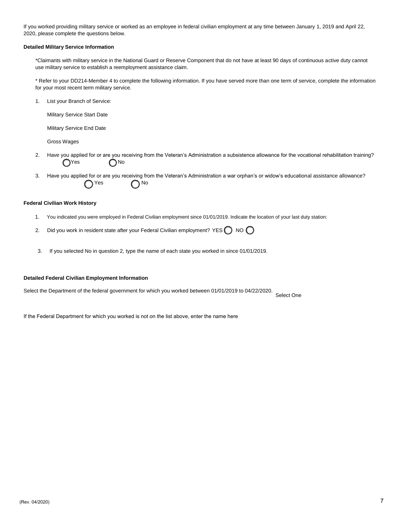If you worked providing military service or worked as an employee in federal civilian employment at any time between January 1, 2019 and April 22, 2020, please complete the questions below.

#### **Detailed Military Service Information**

\*Claimants with military service in the National Guard or Reserve Component that do not have at least 90 days of continuous active duty cannot use military service to establish a reemployment assistance claim.

\* Refer to your DD214-Member 4 to complete the following information. If you have served more than one term of service, complete the information for your most recent term military service.

1. List your Branch of Service:

Military Service Start Date

Military Service End Date

Gross Wages

- 2. Have you applied for or are you receiving from the Veteran's Administration a subsistence allowance for the vocational rehabilitation training?  $O<sup>Yes</sup>$   $O<sup>No</sup>$
- 3. Have you applied for or are you receiving from the Veteran's Administration a war orphan's or widow's educational assistance allowance?  $\bigcap$ Yes  $\bigcap$ No

#### **Federal Civilian Work History**

- 1. You indicated you were employed in Federal Civilian employment since 01/01/2019. Indicate the location of your last duty station:
- 2. Did you work in resident state after your Federal Civilian employment? YES  $\bigcap$  NO  $\bigcap$
- 3. If you selected No in question 2, type the name of each state you worked in since 01/01/2019.

#### **Detailed Federal Civilian Employment Information**

Select the Department of the federal government for which you worked between 01/01/2019 to 04/22/2020.

Select One

If the Federal Department for which you worked is not on the list above, enter the name here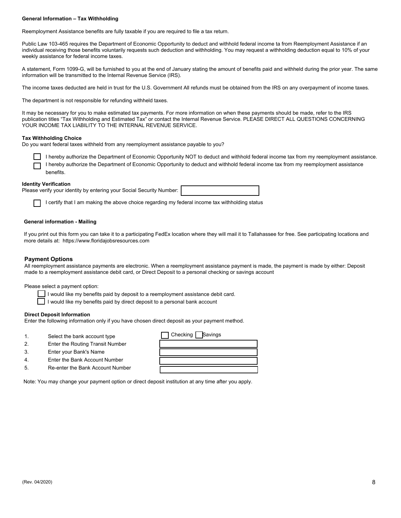#### **General Information – Tax Withholding**

Reemployment Assistance benefits are fully taxable if you are required to file a tax return.

Public Law 103-465 requires the Department of Economic Opportunity to deduct and withhold federal income ta from Reemployment Assistance if an individual receiving those benefits voluntarily requests such deduction and withholding. You may request a withholding deduction equal to 10% of your weekly assistance for federal income taxes.

A statement, Form 1099-G, will be furnished to you at the end of January stating the amount of benefits paid and withheld during the prior year. The same information will be transmitted to the Internal Revenue Service (IRS).

The income taxes deducted are held in trust for the U.S. Government All refunds must be obtained from the IRS on any overpayment of income taxes.

The department is not responsible for refunding withheld taxes.

It may be necessary for you to make estimated tax payments. For more information on when these payments should be made, refer to the IRS publication titles "Tax Withholding and Estimated Tax" or contact the Internal Revenue Service. PLEASE DIRECT ALL QUESTIONS CONCERNING YOUR INCOME TAX LIABILITY TO THE INTERNAL REVENUE SERVICE.

#### **Tax Withholding Choice**

Do you want federal taxes withheld from any reemployment assistance payable to you?



#### **Identity Verification**

| .                                                                    |  |
|----------------------------------------------------------------------|--|
| Please verify your identity by entering your Social Security Number: |  |
|                                                                      |  |
|                                                                      |  |

I certify that I am making the above choice regarding my federal income tax withholding status

#### **General information - Mailing**

If you print out this form you can take it to a participating FedEx location where they will mail it to Tallahassee for free. See participating locations and more details at: https://www.floridajobsresources.com

#### **Payment Options**

All reemployment assistance payments are electronic. When a reemployment assistance payment is made, the payment is made by either: Deposit made to a reemployment assistance debit card, or Direct Deposit to a personal checking or savings account

Please select a payment option:

- I would like my benefits paid by deposit to a reemployment assistance debit card.
- $\Box$  I would like my benefits paid by direct deposit to a personal bank account

#### **Direct Deposit Information**

Enter the following information only if you have chosen direct deposit as your payment method.

- 
- 2. Enter the Routing Transit Number
- 3. Enter your Bank's Name
- 4. Enter the Bank Account Number
- 5. Re-enter the Bank Account Number

Note: You may change your payment option or direct deposit institution at any time after you apply.

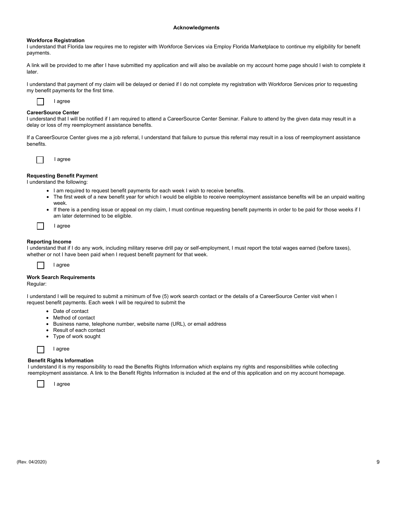#### **Acknowledgments**

#### **Workforce Registration**

I understand that Florida law requires me to register with Workforce Services via Employ Florida Marketplace to continue my eligibility for benefit payments.

A link will be provided to me after I have submitted my application and will also be available on my account home page should I wish to complete it later.

I understand that payment of my claim will be delayed or denied if I do not complete my registration with Workforce Services prior to requesting my benefit payments for the first time.



#### **CareerSource Center**

I understand that I will be notified if I am required to attend a CareerSource Center Seminar. Failure to attend by the given data may result in a delay or loss of my reemployment assistance benefits.

If a CareerSource Center gives me a job referral, I understand that failure to pursue this referral may result in a loss of reemployment assistance benefits.



#### **Requesting Benefit Payment**

I understand the following:

- I am required to request benefit payments for each week I wish to receive benefits.
- The first week of a new benefit year for which I would be eligible to receive reemployment assistance benefits will be an unpaid waiting week.
- If there is a pending issue or appeal on my claim, I must continue requesting benefit payments in order to be paid for those weeks if I am later determined to be eligible.

|  | agree |
|--|-------|
|--|-------|

#### **Reporting Income**

I understand that if I do any work, including military reserve drill pay or self-employment, I must report the total wages earned (before taxes), whether or not I have been paid when I request benefit payment for that week.



#### **Work Search Requirements**

Regular:

I understand I will be required to submit a minimum of five (5) work search contact or the details of a CareerSource Center visit when I request benefit payments. Each week I will be required to submit the

- Date of contact
- Method of contact
- Business name, telephone number, website name (URL), or email address
- Result of each contact
- Type of work sought

I agree

#### **Benefit Rights Information**

I understand it is my responsibility to read the Benefits Rights Information which explains my rights and responsibilities while collecting reemployment assistance. A link to the Benefit Rights Information is included at the end of this application and on my account homepage.

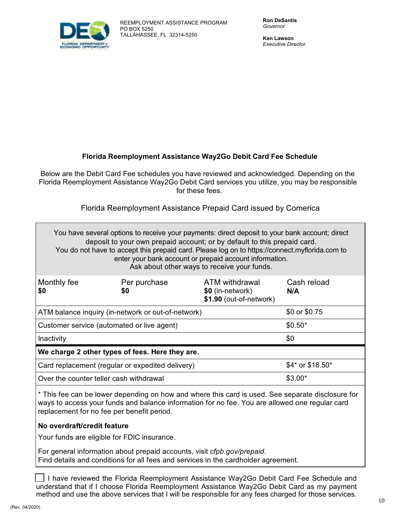

**Ken Lawson** Executive Director

## **Florida Reemployment Assistance Way2Go Debit Card Fee Schedule**

Below are the Debit Card Fee schedules you have reviewed and acknowledged. Depending on the Florida Reemployment Assistance Way2Go Debit Card services you utilize, you may be responsible for these fees.

## Florida Reemployment Assistance Prepaid Card issued by Comerica

| You have several options to receive your payments: direct deposit to your bank account; direct<br>deposit to your own prepaid account; or by default to this prepaid card.<br>You do not have to accept this prepaid card. Please log on to https://connect.myflorida.com to<br>enter your bank account or prepaid account information.<br>Ask about other ways to receive your funds. |                                                                      |                                                               |                    |  |  |
|----------------------------------------------------------------------------------------------------------------------------------------------------------------------------------------------------------------------------------------------------------------------------------------------------------------------------------------------------------------------------------------|----------------------------------------------------------------------|---------------------------------------------------------------|--------------------|--|--|
| Monthly fee<br>\$0                                                                                                                                                                                                                                                                                                                                                                     | Per purchase<br>\$0                                                  | ATM withdrawal<br>\$0 (in-network)<br>\$1.90 (out-of-network) | Cash reload<br>N/A |  |  |
|                                                                                                                                                                                                                                                                                                                                                                                        | ATM balance inquiry (in-network or out-of-network)                   |                                                               | \$0 or \$0.75      |  |  |
| Customer service (automated or live agent)                                                                                                                                                                                                                                                                                                                                             |                                                                      |                                                               | $$0.50*$           |  |  |
| Inactivity                                                                                                                                                                                                                                                                                                                                                                             |                                                                      |                                                               | \$0                |  |  |
| We charge 2 other types of fees. Here they are.                                                                                                                                                                                                                                                                                                                                        |                                                                      |                                                               |                    |  |  |
|                                                                                                                                                                                                                                                                                                                                                                                        | \$4* or \$18.50*<br>Card replacement (regular or expedited delivery) |                                                               |                    |  |  |
| Over the counter teller cash withdrawal                                                                                                                                                                                                                                                                                                                                                |                                                                      |                                                               | $$3.00*$           |  |  |
|                                                                                                                                                                                                                                                                                                                                                                                        |                                                                      |                                                               |                    |  |  |

\* This fee can be lower depending on how and where this card is used. See separate disclosure for ways to access your funds and balance information for no fee. You are allowed one regular card replacement for no fee per benefit period.

## **No overdraft/credit feature**

Your funds are eligible for FDIC insurance.

For general information about prepaid accounts, visit cfpb.gov/prepaid. Find details and conditions for all fees and services in the cardholder agreement.

I have reviewed the Florida Reemployment Assistance Way2Go Debit Card Fee Schedule and understand that if I choose Florida Reemployment Assistance Way2Go Debit Card as my payment method and use the above services that I will be responsible for any fees charged for those services.